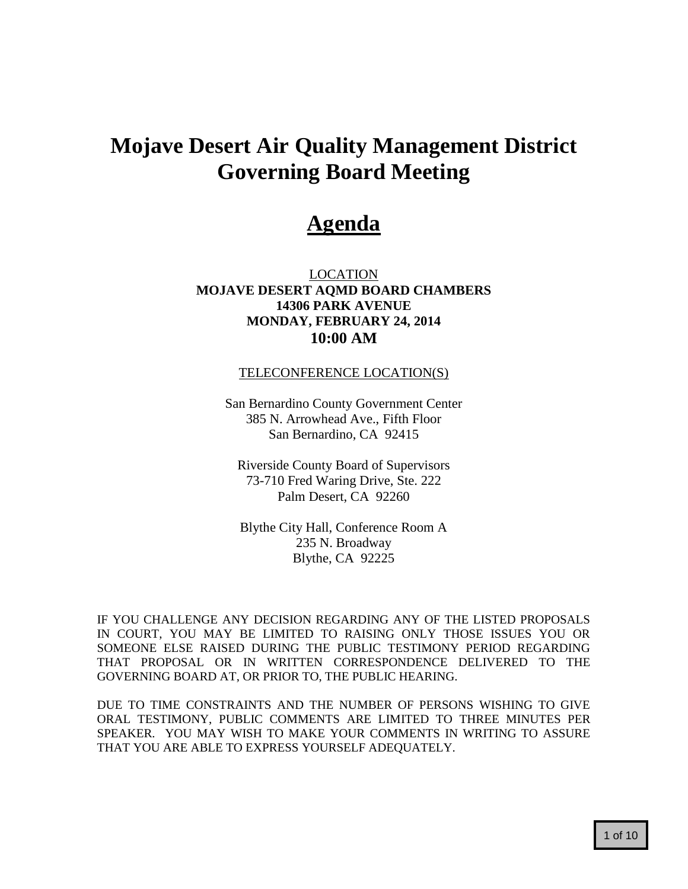# **Mojave Desert Air Quality Management District Governing Board Meeting**

## **Agenda**

LOCATION **MOJAVE DESERT AQMD BOARD CHAMBERS 14306 PARK AVENUE MONDAY, FEBRUARY 24, 2014 10:00 AM**

#### TELECONFERENCE LOCATION(S)

San Bernardino County Government Center 385 N. Arrowhead Ave., Fifth Floor San Bernardino, CA 92415

Riverside County Board of Supervisors 73-710 Fred Waring Drive, Ste. 222 Palm Desert, CA 92260

Blythe City Hall, Conference Room A 235 N. Broadway Blythe, CA 92225

IF YOU CHALLENGE ANY DECISION REGARDING ANY OF THE LISTED PROPOSALS IN COURT, YOU MAY BE LIMITED TO RAISING ONLY THOSE ISSUES YOU OR SOMEONE ELSE RAISED DURING THE PUBLIC TESTIMONY PERIOD REGARDING THAT PROPOSAL OR IN WRITTEN CORRESPONDENCE DELIVERED TO THE GOVERNING BOARD AT, OR PRIOR TO, THE PUBLIC HEARING.

DUE TO TIME CONSTRAINTS AND THE NUMBER OF PERSONS WISHING TO GIVE ORAL TESTIMONY, PUBLIC COMMENTS ARE LIMITED TO THREE MINUTES PER SPEAKER. YOU MAY WISH TO MAKE YOUR COMMENTS IN WRITING TO ASSURE THAT YOU ARE ABLE TO EXPRESS YOURSELF ADEQUATELY.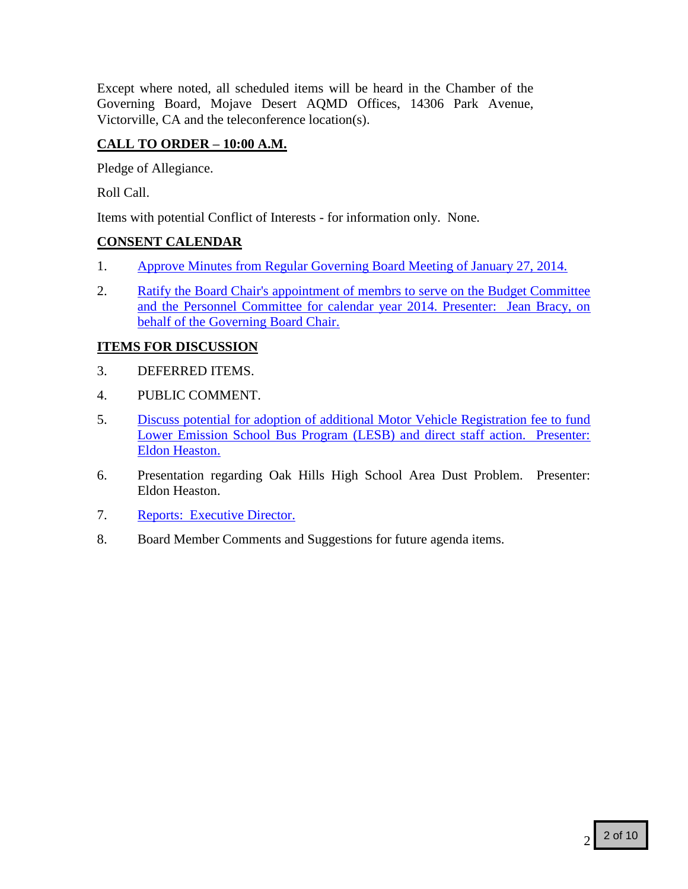Except where noted, all scheduled items will be heard in the Chamber of the Governing Board, Mojave Desert AQMD Offices, 14306 Park Avenue, Victorville, CA and the teleconference location(s).

## **CALL TO ORDER – 10:00 A.M.**

Pledge of Allegiance.

Roll Call.

Items with potential Conflict of Interests - for information only. None.

## **CONSENT CALENDAR**

- 1. [Approve Minutes from Regular Governing Board Meeting of January 27, 2014.](#page-3-0)
- 2. Ratify the Board Chair's appointment of membrs to serve on the Budget Committee [and the Personnel Committee for calendar year 2014. Presenter: Jean Bracy, on](#page-7-0)  [behalf of the Governing Board Chair.](#page-7-0)

## **ITEMS FOR DISCUSSION**

- 3. DEFERRED ITEMS.
- 4. PUBLIC COMMENT.
- 5. [Discuss potential for adoption of additional Motor Vehicle Registration fee to fund](#page-8-0)  [Lower Emission School Bus Program \(LESB\) and direct staff action. Presenter:](#page-8-0)  [Eldon Heaston.](#page-8-0)
- 6. Presentation regarding Oak Hills High School Area Dust Problem. Presenter: Eldon Heaston.
- 7. [Reports: Executive Director.](#page-9-0)
- 8. Board Member Comments and Suggestions for future agenda items.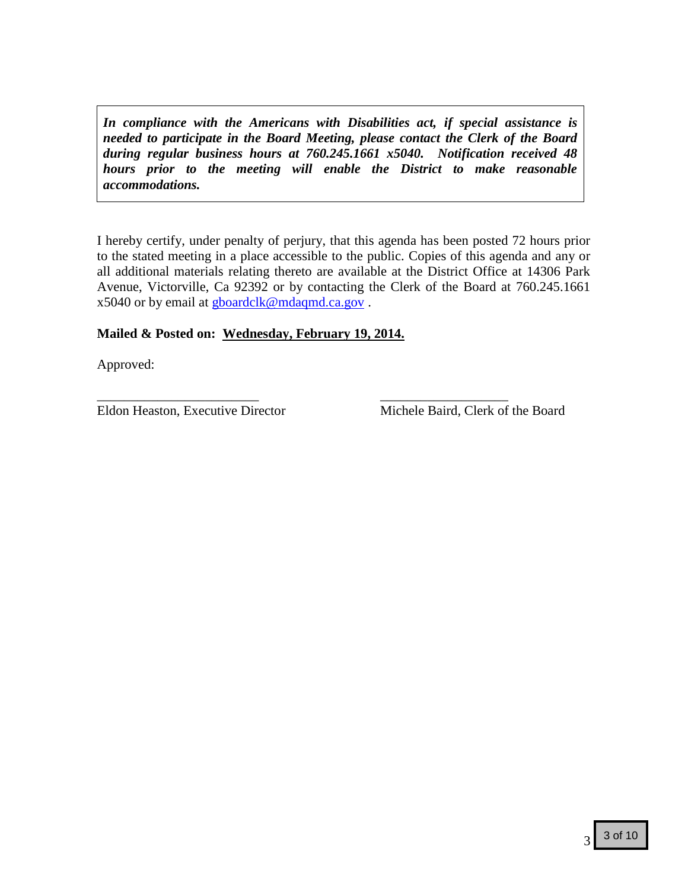*In compliance with the Americans with Disabilities act, if special assistance is needed to participate in the Board Meeting, please contact the Clerk of the Board during regular business hours at 760.245.1661 x5040. Notification received 48 hours prior to the meeting will enable the District to make reasonable accommodations.*

I hereby certify, under penalty of perjury, that this agenda has been posted 72 hours prior to the stated meeting in a place accessible to the public. Copies of this agenda and any or all additional materials relating thereto are available at the District Office at 14306 Park Avenue, Victorville, Ca 92392 or by contacting the Clerk of the Board at 760.245.1661 x5040 or by email at [gboardclk@mdaqmd.ca.gov](mailto:gboardclk@mdaqmd.ca.gov) .

## **Mailed & Posted on: Wednesday, February 19, 2014.**

Approved:

Eldon Heaston, Executive Director Michele Baird, Clerk of the Board

\_\_\_\_\_\_\_\_\_\_\_\_\_\_\_\_\_\_\_\_\_\_\_\_ \_\_\_\_\_\_\_\_\_\_\_\_\_\_\_\_\_\_\_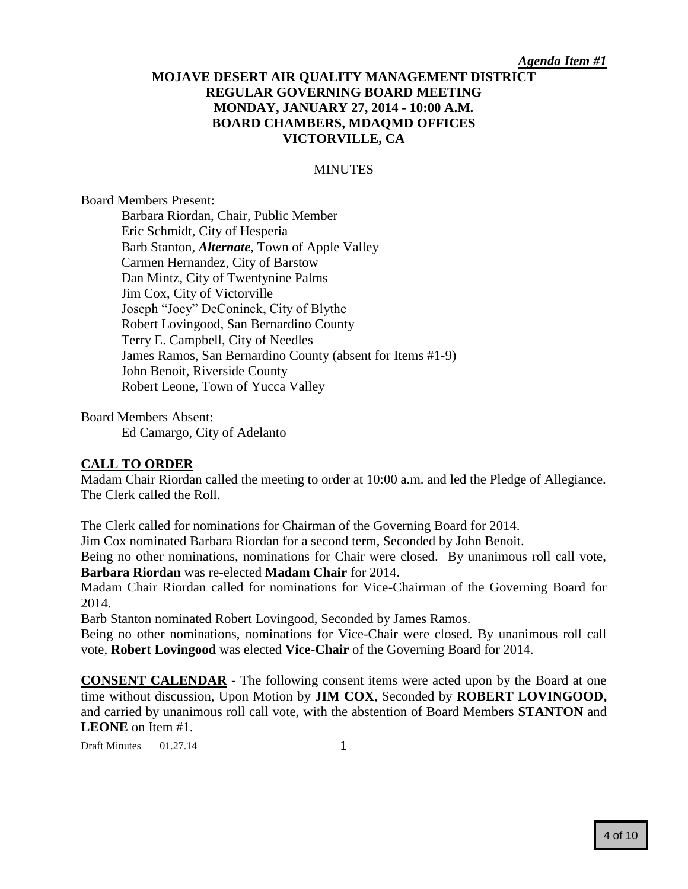#### *Agenda Item #1*

## <span id="page-3-0"></span>**MOJAVE DESERT AIR QUALITY MANAGEMENT DISTRICT REGULAR GOVERNING BOARD MEETING MONDAY, JANUARY 27, 2014 - 10:00 A.M. BOARD CHAMBERS, MDAQMD OFFICES VICTORVILLE, CA**

#### **MINUTES**

#### Board Members Present:

Barbara Riordan, Chair, Public Member Eric Schmidt, City of Hesperia Barb Stanton*, Alternate*, Town of Apple Valley Carmen Hernandez, City of Barstow Dan Mintz, City of Twentynine Palms Jim Cox, City of Victorville Joseph "Joey" DeConinck, City of Blythe Robert Lovingood, San Bernardino County Terry E. Campbell, City of Needles James Ramos, San Bernardino County (absent for Items #1-9) John Benoit, Riverside County Robert Leone, Town of Yucca Valley

Board Members Absent: Ed Camargo, City of Adelanto

#### **CALL TO ORDER**

Madam Chair Riordan called the meeting to order at 10:00 a.m. and led the Pledge of Allegiance. The Clerk called the Roll.

The Clerk called for nominations for Chairman of the Governing Board for 2014.

Jim Cox nominated Barbara Riordan for a second term, Seconded by John Benoit.

Being no other nominations, nominations for Chair were closed. By unanimous roll call vote, **Barbara Riordan** was re-elected **Madam Chair** for 2014.

Madam Chair Riordan called for nominations for Vice-Chairman of the Governing Board for 2014.

Barb Stanton nominated Robert Lovingood, Seconded by James Ramos.

Being no other nominations, nominations for Vice-Chair were closed. By unanimous roll call vote, **Robert Lovingood** was elected **Vice-Chair** of the Governing Board for 2014.

**CONSENT CALENDAR** - The following consent items were acted upon by the Board at one time without discussion, Upon Motion by **JIM COX**, Seconded by **ROBERT LOVINGOOD,**  and carried by unanimous roll call vote, with the abstention of Board Members **STANTON** and **LEONE** on Item #1.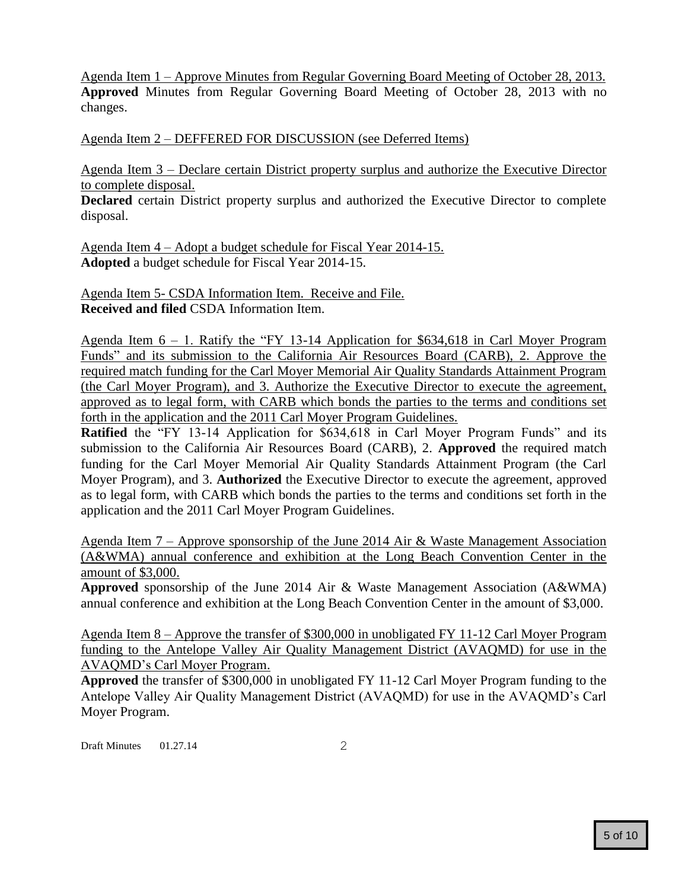Agenda Item 1 – Approve Minutes from Regular Governing Board Meeting of October 28, 2013. **Approved** Minutes from Regular Governing Board Meeting of October 28, 2013 with no changes.

Agenda Item 2 – DEFFERED FOR DISCUSSION (see Deferred Items)

Agenda Item 3 – Declare certain District property surplus and authorize the Executive Director to complete disposal.

**Declared** certain District property surplus and authorized the Executive Director to complete disposal.

Agenda Item 4 – Adopt a budget schedule for Fiscal Year 2014-15. **Adopted** a budget schedule for Fiscal Year 2014-15.

Agenda Item 5- CSDA Information Item. Receive and File. **Received and filed** CSDA Information Item.

Agenda Item 6 – 1. Ratify the "FY 13-14 Application for \$634,618 in Carl Moyer Program Funds" and its submission to the California Air Resources Board (CARB), 2. Approve the required match funding for the Carl Moyer Memorial Air Quality Standards Attainment Program (the Carl Moyer Program), and 3. Authorize the Executive Director to execute the agreement, approved as to legal form, with CARB which bonds the parties to the terms and conditions set forth in the application and the 2011 Carl Moyer Program Guidelines.

**Ratified** the "FY 13-14 Application for \$634,618 in Carl Moyer Program Funds" and its submission to the California Air Resources Board (CARB), 2. **Approved** the required match funding for the Carl Moyer Memorial Air Quality Standards Attainment Program (the Carl Moyer Program), and 3. **Authorized** the Executive Director to execute the agreement, approved as to legal form, with CARB which bonds the parties to the terms and conditions set forth in the application and the 2011 Carl Moyer Program Guidelines.

Agenda Item 7 – Approve sponsorship of the June 2014 Air & Waste Management Association (A&WMA) annual conference and exhibition at the Long Beach Convention Center in the amount of \$3,000.

**Approved** sponsorship of the June 2014 Air & Waste Management Association (A&WMA) annual conference and exhibition at the Long Beach Convention Center in the amount of \$3,000.

Agenda Item 8 – Approve the transfer of \$300,000 in unobligated FY 11-12 Carl Moyer Program funding to the Antelope Valley Air Quality Management District (AVAQMD) for use in the AVAQMD's Carl Moyer Program.

**Approved** the transfer of \$300,000 in unobligated FY 11-12 Carl Moyer Program funding to the Antelope Valley Air Quality Management District (AVAQMD) for use in the AVAQMD's Carl Moyer Program.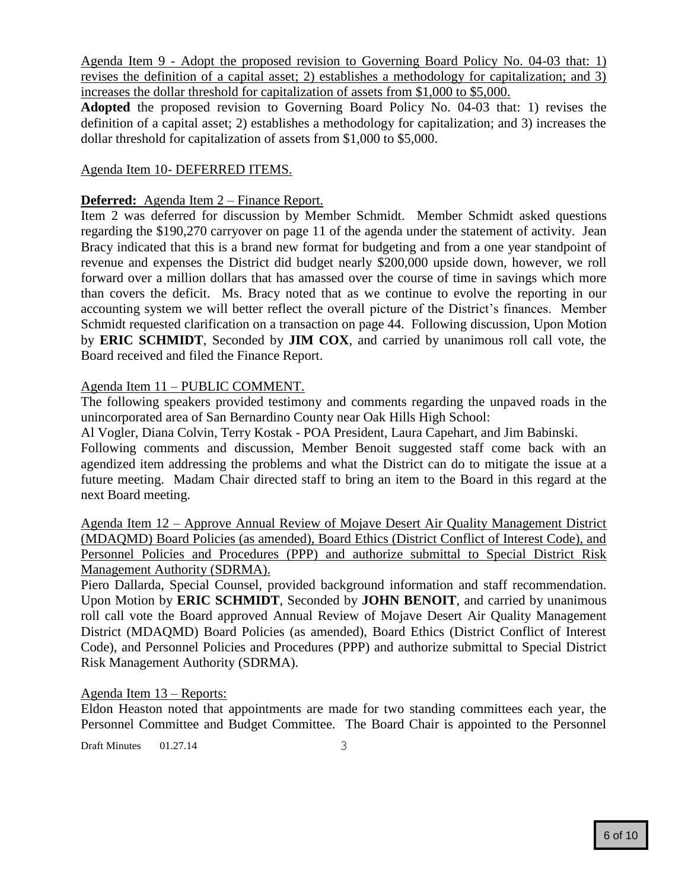Agenda Item 9 - Adopt the proposed revision to Governing Board Policy No. 04-03 that: 1) revises the definition of a capital asset; 2) establishes a methodology for capitalization; and 3) increases the dollar threshold for capitalization of assets from \$1,000 to \$5,000.

**Adopted** the proposed revision to Governing Board Policy No. 04-03 that: 1) revises the definition of a capital asset; 2) establishes a methodology for capitalization; and 3) increases the dollar threshold for capitalization of assets from \$1,000 to \$5,000.

### Agenda Item 10- DEFERRED ITEMS.

#### **Deferred:** Agenda Item 2 – Finance Report.

Item 2 was deferred for discussion by Member Schmidt. Member Schmidt asked questions regarding the \$190,270 carryover on page 11 of the agenda under the statement of activity. Jean Bracy indicated that this is a brand new format for budgeting and from a one year standpoint of revenue and expenses the District did budget nearly \$200,000 upside down, however, we roll forward over a million dollars that has amassed over the course of time in savings which more than covers the deficit. Ms. Bracy noted that as we continue to evolve the reporting in our accounting system we will better reflect the overall picture of the District's finances. Member Schmidt requested clarification on a transaction on page 44. Following discussion, Upon Motion by **ERIC SCHMIDT**, Seconded by **JIM COX**, and carried by unanimous roll call vote, the Board received and filed the Finance Report.

#### Agenda Item 11 – PUBLIC COMMENT.

The following speakers provided testimony and comments regarding the unpaved roads in the unincorporated area of San Bernardino County near Oak Hills High School:

Al Vogler, Diana Colvin, Terry Kostak - POA President, Laura Capehart, and Jim Babinski.

Following comments and discussion, Member Benoit suggested staff come back with an agendized item addressing the problems and what the District can do to mitigate the issue at a future meeting. Madam Chair directed staff to bring an item to the Board in this regard at the next Board meeting.

Agenda Item 12 – Approve Annual Review of Mojave Desert Air Quality Management District (MDAQMD) Board Policies (as amended), Board Ethics (District Conflict of Interest Code), and Personnel Policies and Procedures (PPP) and authorize submittal to Special District Risk Management Authority (SDRMA).

Piero Dallarda, Special Counsel, provided background information and staff recommendation. Upon Motion by **ERIC SCHMIDT**, Seconded by **JOHN BENOIT**, and carried by unanimous roll call vote the Board approved Annual Review of Mojave Desert Air Quality Management District (MDAQMD) Board Policies (as amended), Board Ethics (District Conflict of Interest Code), and Personnel Policies and Procedures (PPP) and authorize submittal to Special District Risk Management Authority (SDRMA).

#### Agenda Item 13 – Reports:

Eldon Heaston noted that appointments are made for two standing committees each year, the Personnel Committee and Budget Committee. The Board Chair is appointed to the Personnel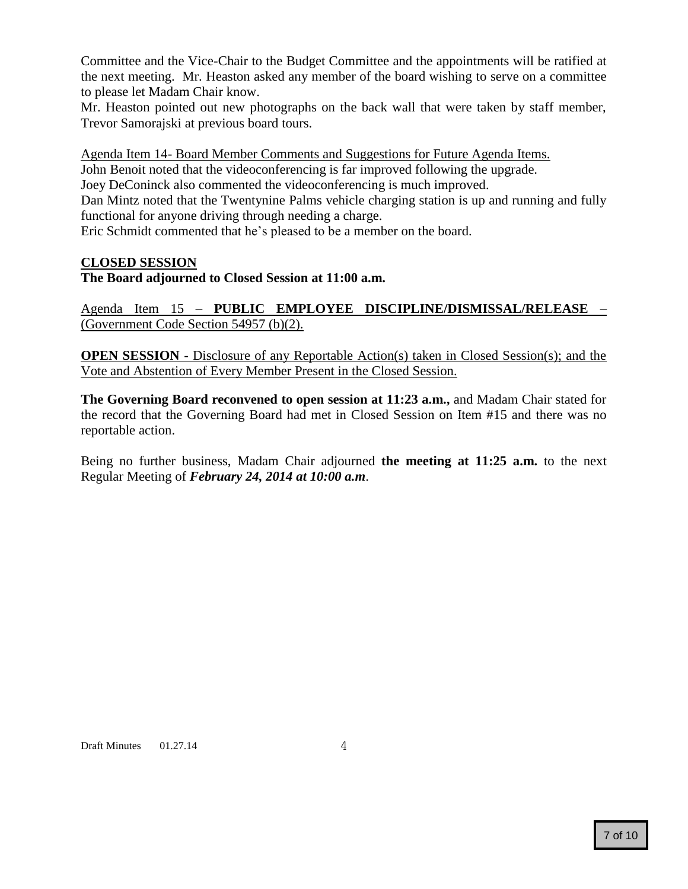Committee and the Vice-Chair to the Budget Committee and the appointments will be ratified at the next meeting. Mr. Heaston asked any member of the board wishing to serve on a committee to please let Madam Chair know.

Mr. Heaston pointed out new photographs on the back wall that were taken by staff member, Trevor Samorajski at previous board tours.

Agenda Item 14- Board Member Comments and Suggestions for Future Agenda Items.

John Benoit noted that the videoconferencing is far improved following the upgrade.

Joey DeConinck also commented the videoconferencing is much improved.

Dan Mintz noted that the Twentynine Palms vehicle charging station is up and running and fully functional for anyone driving through needing a charge.

Eric Schmidt commented that he's pleased to be a member on the board.

#### **CLOSED SESSION**

**The Board adjourned to Closed Session at 11:00 a.m.**

Agenda Item 15 – **PUBLIC EMPLOYEE DISCIPLINE/DISMISSAL/RELEASE** – (Government Code Section 54957 (b)(2).

**OPEN SESSION** - Disclosure of any Reportable Action(s) taken in Closed Session(s); and the Vote and Abstention of Every Member Present in the Closed Session.

**The Governing Board reconvened to open session at 11:23 a.m.,** and Madam Chair stated for the record that the Governing Board had met in Closed Session on Item #15 and there was no reportable action.

Being no further business, Madam Chair adjourned **the meeting at 11:25 a.m.** to the next Regular Meeting of *February 24, 2014 at 10:00 a.m*.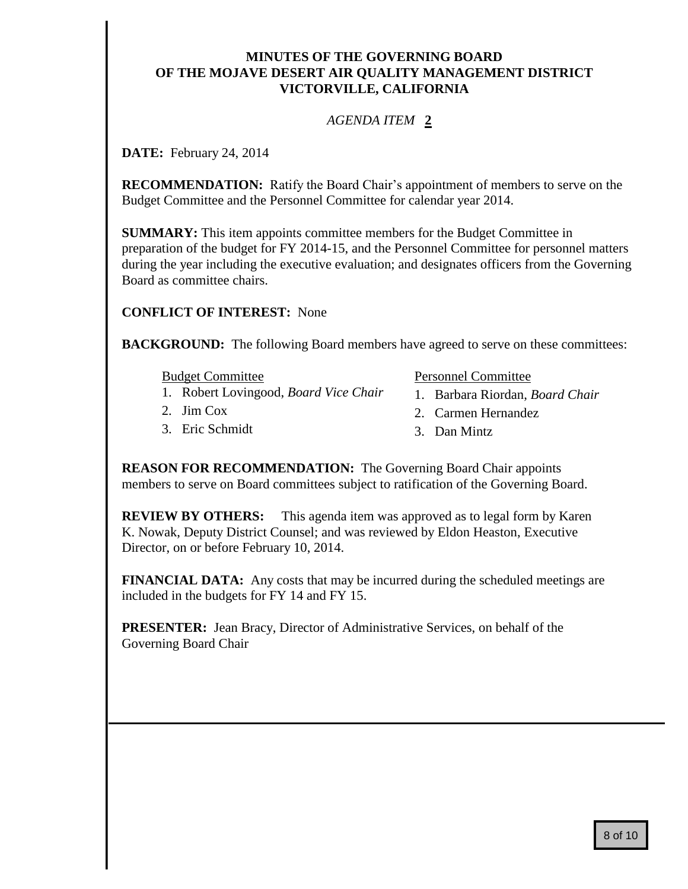## **MINUTES OF THE GOVERNING BOARD OF THE MOJAVE DESERT AIR QUALITY MANAGEMENT DISTRICT VICTORVILLE, CALIFORNIA**

## *AGENDA ITEM* **2**

<span id="page-7-0"></span>**DATE:** February 24, 2014

**RECOMMENDATION:** Ratify the Board Chair's appointment of members to serve on the Budget Committee and the Personnel Committee for calendar year 2014.

**SUMMARY:** This item appoints committee members for the Budget Committee in preparation of the budget for FY 2014-15, and the Personnel Committee for personnel matters during the year including the executive evaluation; and designates officers from the Governing Board as committee chairs.

**CONFLICT OF INTEREST:** None

**BACKGROUND:** The following Board members have agreed to serve on these committees:

Budget Committee

- 1. Robert Lovingood, *Board Vice Chair*
- 2. Jim Cox
- 3. Eric Schmidt

Personnel Committee

- 1. Barbara Riordan, *Board Chair*
- 2. Carmen Hernandez
- 3. Dan Mintz

**REASON FOR RECOMMENDATION:** The Governing Board Chair appoints members to serve on Board committees subject to ratification of the Governing Board.

**REVIEW BY OTHERS:** This agenda item was approved as to legal form by Karen K. Nowak, Deputy District Counsel; and was reviewed by Eldon Heaston, Executive Director, on or before February 10, 2014.

**FINANCIAL DATA:** Any costs that may be incurred during the scheduled meetings are included in the budgets for FY 14 and FY 15.

**PRESENTER:** Jean Bracy, Director of Administrative Services, on behalf of the Governing Board Chair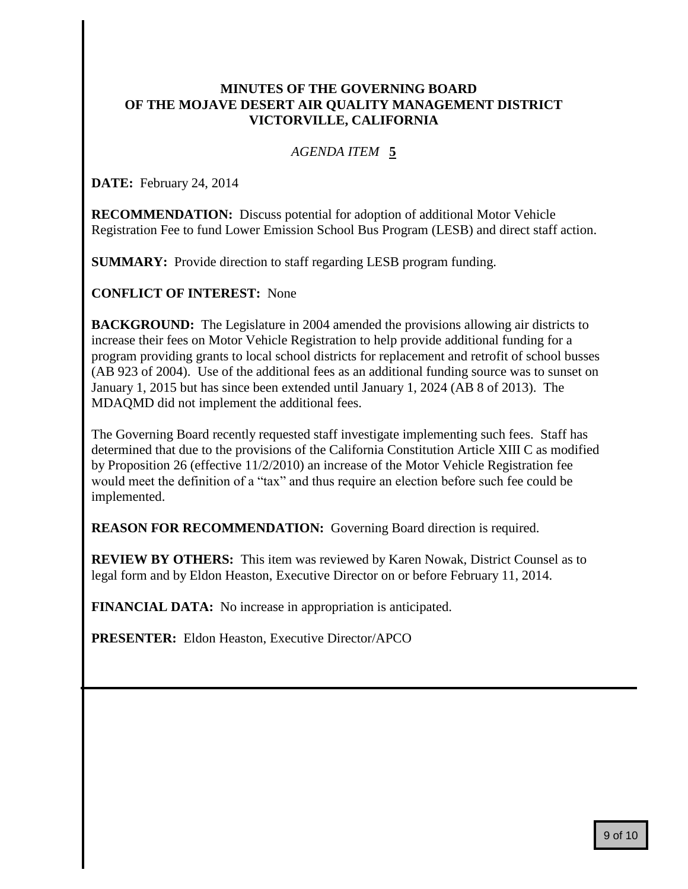### <span id="page-8-0"></span>**MINUTES OF THE GOVERNING BOARD OF THE MOJAVE DESERT AIR QUALITY MANAGEMENT DISTRICT VICTORVILLE, CALIFORNIA**

## *AGENDA ITEM* **5**

**DATE:** February 24, 2014

**RECOMMENDATION:** Discuss potential for adoption of additional Motor Vehicle Registration Fee to fund Lower Emission School Bus Program (LESB) and direct staff action.

**SUMMARY:** Provide direction to staff regarding LESB program funding.

**CONFLICT OF INTEREST:** None

**BACKGROUND:** The Legislature in 2004 amended the provisions allowing air districts to increase their fees on Motor Vehicle Registration to help provide additional funding for a program providing grants to local school districts for replacement and retrofit of school busses (AB 923 of 2004). Use of the additional fees as an additional funding source was to sunset on January 1, 2015 but has since been extended until January 1, 2024 (AB 8 of 2013). The MDAQMD did not implement the additional fees.

The Governing Board recently requested staff investigate implementing such fees. Staff has determined that due to the provisions of the California Constitution Article XIII C as modified by Proposition 26 (effective 11/2/2010) an increase of the Motor Vehicle Registration fee would meet the definition of a "tax" and thus require an election before such fee could be implemented.

**REASON FOR RECOMMENDATION:** Governing Board direction is required.

**REVIEW BY OTHERS:** This item was reviewed by Karen Nowak, District Counsel as to legal form and by Eldon Heaston, Executive Director on or before February 11, 2014.

**FINANCIAL DATA:** No increase in appropriation is anticipated.

**PRESENTER:** Eldon Heaston, Executive Director/APCO